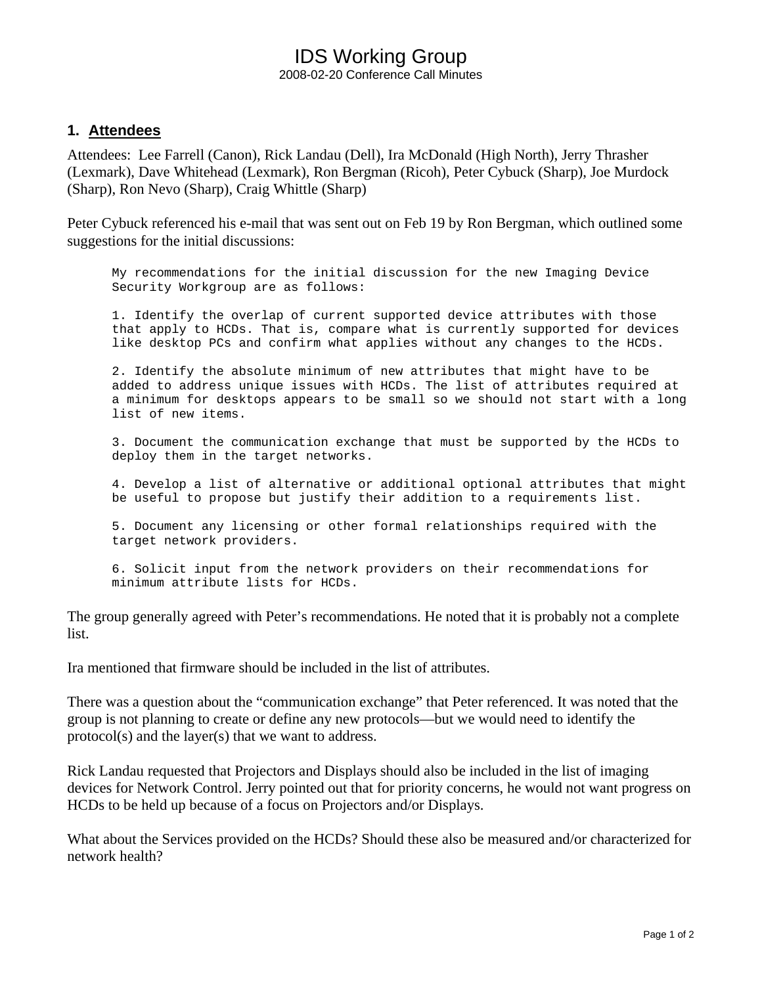# IDS Working Group

2008-02-20 Conference Call Minutes

## **1. Attendees**

Attendees: Lee Farrell (Canon), Rick Landau (Dell), Ira McDonald (High North), Jerry Thrasher (Lexmark), Dave Whitehead (Lexmark), Ron Bergman (Ricoh), Peter Cybuck (Sharp), Joe Murdock (Sharp), Ron Nevo (Sharp), Craig Whittle (Sharp)

Peter Cybuck referenced his e-mail that was sent out on Feb 19 by Ron Bergman, which outlined some suggestions for the initial discussions:

My recommendations for the initial discussion for the new Imaging Device Security Workgroup are as follows:

1. Identify the overlap of current supported device attributes with those that apply to HCDs. That is, compare what is currently supported for devices like desktop PCs and confirm what applies without any changes to the HCDs.

2. Identify the absolute minimum of new attributes that might have to be added to address unique issues with HCDs. The list of attributes required at a minimum for desktops appears to be small so we should not start with a long list of new items.

3. Document the communication exchange that must be supported by the HCDs to deploy them in the target networks.

4. Develop a list of alternative or additional optional attributes that might be useful to propose but justify their addition to a requirements list.

5. Document any licensing or other formal relationships required with the target network providers.

6. Solicit input from the network providers on their recommendations for minimum attribute lists for HCDs.

The group generally agreed with Peter's recommendations. He noted that it is probably not a complete list.

Ira mentioned that firmware should be included in the list of attributes.

There was a question about the "communication exchange" that Peter referenced. It was noted that the group is not planning to create or define any new protocols—but we would need to identify the protocol(s) and the layer(s) that we want to address.

Rick Landau requested that Projectors and Displays should also be included in the list of imaging devices for Network Control. Jerry pointed out that for priority concerns, he would not want progress on HCDs to be held up because of a focus on Projectors and/or Displays.

What about the Services provided on the HCDs? Should these also be measured and/or characterized for network health?